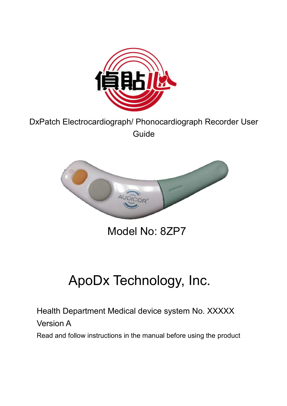

#### DxPatch Electrocardiograph/ Phonocardiograph Recorder User Guide



Model No: 8ZP7

# ApoDx Technology, Inc.

Health Department Medical device system No. XXXXX

Version A

Read and follow instructions in the manual before using the product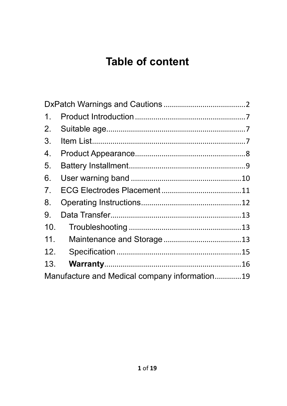# **Table of content**

| 1.  |                                               |  |
|-----|-----------------------------------------------|--|
| 2.  |                                               |  |
| 3.  |                                               |  |
| 4.  |                                               |  |
| 5.  |                                               |  |
| 6.  |                                               |  |
| 7.  |                                               |  |
| 8.  |                                               |  |
| 9.  |                                               |  |
| 10. |                                               |  |
| 11. |                                               |  |
| 12. |                                               |  |
| 13. |                                               |  |
|     | Manufacture and Medical company information19 |  |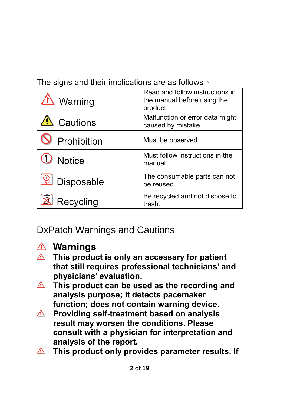The signs and their implications are as follows。

| <u><sup>/!</sup> Warning</u> | Read and follow instructions in<br>the manual before using the<br>product. |
|------------------------------|----------------------------------------------------------------------------|
| <b>A</b> Cautions            | Malfunction or error data might<br>caused by mistake.                      |
| Prohibition                  | Must be observed.                                                          |
| <b>Notice</b>                | Must follow instructions in the<br>manual.                                 |
| Disposable                   | The consumable parts can not<br>be reused.                                 |
| Recycling                    | Be recycled and not dispose to<br>trash.                                   |

<span id="page-2-0"></span>DxPatch Warnings and Cautions



#### **Warnings**

- **This product is only an accessary for patient that still requires professional technicians' and physicians' evaluation.**
- **This product can be used as the recording and analysis purpose; it detects pacemaker function; does not contain warning device.**
- **Providing self-treatment based on analysis**   $\triangle$ **result may worsen the conditions. Please consult with a physician for interpretation and analysis of the report.**
- **This product only provides parameter results. If**  $\bigwedge$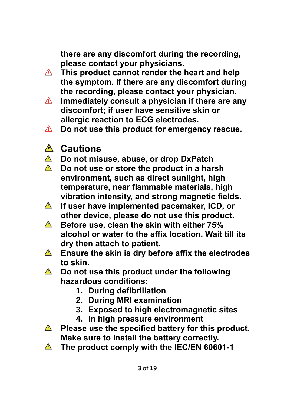**there are any discomfort during the recording, please contact your physicians.** 

- **This product cannot render the heart and help**   $\triangle$ **the symptom. If there are any discomfort during the recording, please contact your physician.**
- **Immediately consult a physician if there are any**   $\triangle$ **discomfort; if user have sensitive skin or allergic reaction to ECG electrodes.**
- **Do not use this product for emergency rescue.**   $\triangle$
- **Cautions**
- *A* Do not misuse, abuse, or drop DxPatch
- **Do not use or store the product in a harsh environment, such as direct sunlight, high temperature, near flammable materials, high vibration intensity, and strong magnetic fields.**
- **If user have implemented pacemaker, ICD, or**   $\triangle$ **other device, please do not use this product.**
- **Before use, clean the skin with either 75%**   $\triangle$ **alcohol or water to the affix location. Wait till its dry then attach to patient.**
- $\triangle$ **Ensure the skin is dry before affix the electrodes to skin.**
- $\triangle$  Do not use this product under the following **hazardous conditions:**
	- **1. During defibrillation**
	- **2. During MRI examination**
	- **3. Exposed to high electromagnetic sites**
	- **4. In high pressure environment**
- **A** Please use the specified battery for this product. **Make sure to install the battery correctly.**
- **The product comply with the IEC/EN 60601-1**  $\triangle$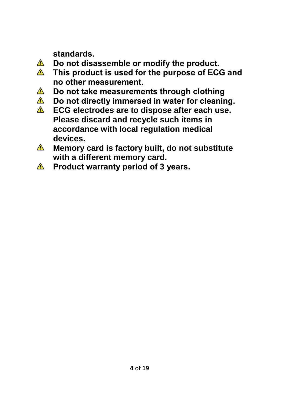**standards.** 

- $\triangle$ **Do not disassemble or modify the product.**
- $\triangle$ **This product is used for the purpose of ECG and no other measurement.**
- $\bigwedge$ **Do not take measurements through clothing**
- $\triangle$ **Do not directly immersed in water for cleaning.**
- $\triangle$ **ECG electrodes are to dispose after each use. Please discard and recycle such items in accordance with local regulation medical devices.**
- $\triangle$ **Memory card is factory built, do not substitute with a different memory card.**
- **A** Product warranty period of 3 years.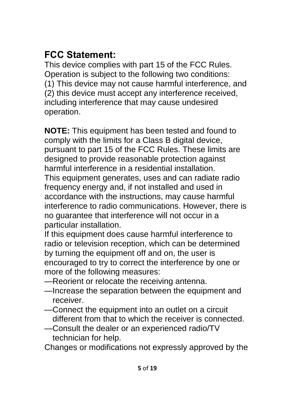## **FCC Statement:**

This device complies with part 15 of the FCC Rules. Operation is subject to the following two conditions: (1) This device may not cause harmful interference, and (2) this device must accept any interference received, including interference that may cause undesired operation.

**NOTE:** This equipment has been tested and found to comply with the limits for a Class B digital device, pursuant to part 15 of the FCC Rules. These limits are designed to provide reasonable protection against harmful interference in a residential installation. This equipment generates, uses and can radiate radio frequency energy and, if not installed and used in accordance with the instructions, may cause harmful interference to radio communications. However, there is no guarantee that interference will not occur in a particular installation.

If this equipment does cause harmful interference to radio or television reception, which can be determined by turning the equipment off and on, the user is encouraged to try to correct the interference by one or more of the following measures:

- —Reorient or relocate the receiving antenna.
- —Increase the separation between the equipment and receiver.
- —Connect the equipment into an outlet on a circuit different from that to which the receiver is connected.
- —Consult the dealer or an experienced radio/TV technician for help.

Changes or modifications not expressly approved by the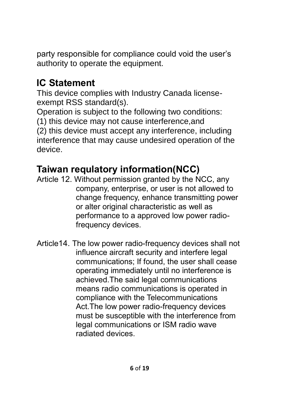party responsible for compliance could void the user's authority to operate the equipment.

## **IC Statement**

This device complies with Industry Canada licenseexempt RSS standard(s).

Operation is subject to the following two conditions:

(1) this device may not cause interference,and

(2) this device must accept any interference, including interference that may cause undesired operation of the device.

## **Taiwan requlatory information(NCC)**

- Article 12. Without permission granted by the NCC, any company, enterprise, or user is not allowed to change frequency, enhance transmitting power or alter original characteristic as well as performance to a approved low power radiofrequency devices.
- Article14. The low power radio-frequency devices shall not influence aircraft security and interfere legal communications; If found, the user shall cease operating immediately until no interference is achieved.The said legal communications means radio communications is operated in compliance with the Telecommunications Act.The low power radio-frequency devices must be susceptible with the interference from legal communications or ISM radio wave radiated devices.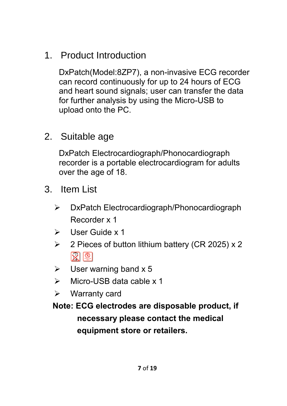<span id="page-7-0"></span>1. Product Introduction

DxPatch(Model:8ZP7), a non-invasive ECG recorder can record continuously for up to 24 hours of ECG and heart sound signals; user can transfer the data for further analysis by using the Micro-USB to upload onto the PC.

<span id="page-7-1"></span>2. Suitable age

DxPatch Electrocardiograph/Phonocardiograph recorder is a portable electrocardiogram for adults over the age of 18.

- <span id="page-7-2"></span>3. Item List
	- DxPatch Electrocardiograph/Phonocardiograph Recorder x 1
	- $\triangleright$  User Guide x 1
	- $\geq$  2 Pieces of button lithium battery (CR 2025) x 2  $\mathbb{R}^{\mathbb{D}}$
	- $\triangleright$  User warning band x 5
	- $\triangleright$  Micro-USB data cable x 1
	- $\triangleright$  Warranty card

**Note: ECG electrodes are disposable product, if necessary please contact the medical equipment store or retailers.**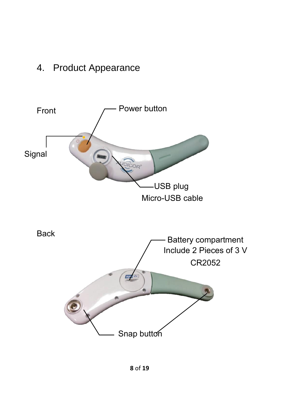### <span id="page-8-0"></span>4. Product Appearance

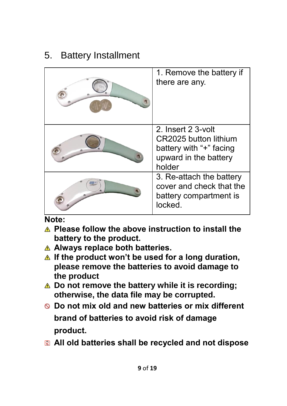### <span id="page-9-0"></span>5. Battery Installment

| 1. Remove the battery if<br>there are any.                                                                |
|-----------------------------------------------------------------------------------------------------------|
| 2. Insert 2 3-volt<br>CR2025 button lithium<br>battery with "+" facing<br>upward in the battery<br>holder |
| 3. Re-attach the battery<br>cover and check that the<br>battery compartment is<br>locked.                 |

#### **Note:**

- **Please follow the above instruction to install the battery to the product.**
- **Always replace both batteries.**
- **A** If the product won't be used for a long duration, **please remove the batteries to avoid damage to the product**
- **Do not remove the battery while it is recording; otherwise, the data file may be corrupted.**
- **Do not mix old and new batteries or mix different brand of batteries to avoid risk of damage product.**
- **All old batteries shall be recycled and not dispose**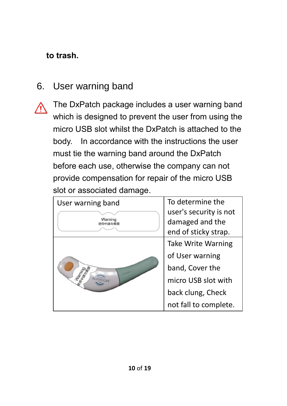#### **to trash.**

### <span id="page-10-0"></span>6. User warning band

The DxPatch package includes a user warning band which is designed to prevent the user from using the micro USB slot whilst the DxPatch is attached to the body. In accordance with the instructions the user must tie the warning band around the DxPatch before each use, otherwise the company can not provide compensation for repair of the micro USB slot or associated damage.

| User warning band  | To determine the       |
|--------------------|------------------------|
|                    | user's security is not |
| Warning<br>使田中請勿撕問 | damaged and the        |
|                    | end of sticky strap.   |
|                    | Take Write Warning     |
|                    | of User warning        |
|                    | band, Cover the        |
|                    | micro USB slot with    |
|                    | back clung, Check      |
|                    | not fall to complete.  |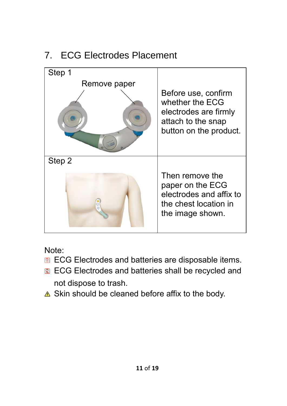## <span id="page-11-0"></span>7. ECG Electrodes Placement



Note:

- **ECG Electrodes and batteries are disposable items.**
- **R** ECG Electrodes and batteries shall be recycled and not dispose to trash.
- $\triangle$  Skin should be cleaned before affix to the body.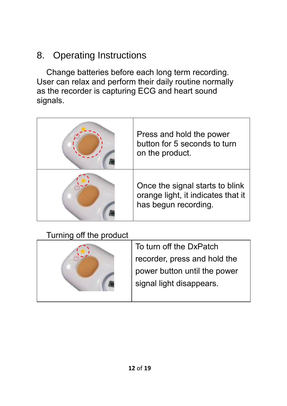## <span id="page-12-0"></span>8. Operating Instructions

Change batteries before each long term recording. User can relax and perform their daily routine normally as the recorder is capturing ECG and heart sound signals.

| Press and hold the power<br>button for 5 seconds to turn<br>on the product.                   |
|-----------------------------------------------------------------------------------------------|
| Once the signal starts to blink<br>orange light, it indicates that it<br>has begun recording. |

#### Turning off the product

| To turn off the DxPatch      |
|------------------------------|
| recorder, press and hold the |
| power button until the power |
| signal light disappears.     |
|                              |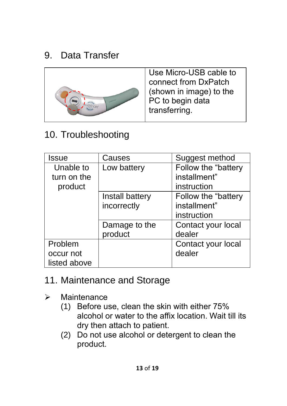## <span id="page-13-0"></span>9. Data Transfer



Use Micro-USB cable to connect from DxPatch (shown in image) to the PC to begin data transferring.

## <span id="page-13-1"></span>10. Troubleshooting

| Issue        | Causes          | Suggest method      |
|--------------|-----------------|---------------------|
| Unable to    | Low battery     | Follow the "battery |
| turn on the  |                 | installment"        |
| product      |                 | instruction         |
|              | Install battery | Follow the "battery |
|              | incorrectly     | installment"        |
|              |                 | instruction         |
|              | Damage to the   | Contact your local  |
|              | product         | dealer              |
| Problem      |                 | Contact your local  |
| occur not    |                 | dealer              |
| listed above |                 |                     |

#### <span id="page-13-2"></span>11. Maintenance and Storage

- $\triangleright$  Maintenance
	- (1) Before use, clean the skin with either 75% alcohol or water to the affix location. Wait till its dry then attach to patient.
	- (2) Do not use alcohol or detergent to clean the product.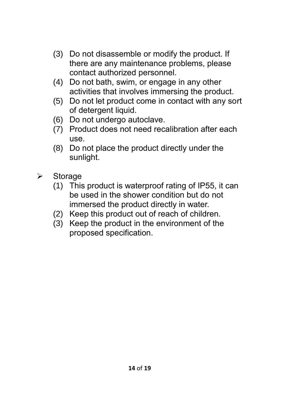- (3) Do not disassemble or modify the product. If there are any maintenance problems, please contact authorized personnel.
- (4) Do not bath, swim, or engage in any other activities that involves immersing the product.
- (5) Do not let product come in contact with any sort of detergent liquid.
- (6) Do not undergo autoclave.
- (7) Product does not need recalibration after each use.
- (8) Do not place the product directly under the sunlight.
- $\triangleright$  Storage
	- (1) This product is waterproof rating of IP55, it can be used in the shower condition but do not immersed the product directly in water.
	- (2) Keep this product out of reach of children.
	- (3) Keep the product in the environment of the proposed specification.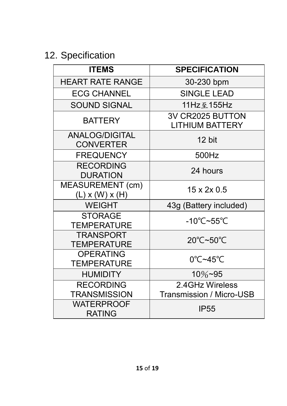# <span id="page-15-0"></span>12. Specification

| <b>ITEMS</b>                              | <b>SPECIFICATION</b>                         |
|-------------------------------------------|----------------------------------------------|
| <b>HEART RATE RANGE</b>                   | 30-230 bpm                                   |
| <b>ECG CHANNEL</b>                        | <b>SINGLE LEAD</b>                           |
| <b>SOUND SIGNAL</b>                       | 11Hz 至 155Hz                                 |
| <b>BATTERY</b>                            | 3V CR2025 BUTTON<br><b>LITHIUM BATTERY</b>   |
| <b>ANALOG/DIGITAL</b><br><b>CONVERTER</b> | 12 bit                                       |
| <b>FREQUENCY</b>                          | 500Hz                                        |
| <b>RECORDING</b><br><b>DURATION</b>       | 24 hours                                     |
| MEASUREMENT (cm)<br>$(L)$ x $(W)$ x $(H)$ | 15 x 2x 0.5                                  |
| <b>WEIGHT</b>                             | 43g (Battery included)                       |
| <b>STORAGE</b><br><b>TEMPERATURE</b>      | -10 $\degree$ C~55 $\degree$ C               |
| <b>TRANSPORT</b><br><b>TEMPERATURE</b>    | 20°C~50°C                                    |
| <b>OPERATING</b><br><b>TEMPERATURE</b>    | $0^{\circ}$ C~45 $^{\circ}$ C                |
| <b>HUMIDITY</b>                           | $10\%$ ~95                                   |
| <b>RECORDING</b><br><b>TRANSMISSION</b>   | 2.4 GHz Wireless<br>Transmission / Micro-USB |
| <b>WATERPROOF</b><br><b>RATING</b>        | <b>IP55</b>                                  |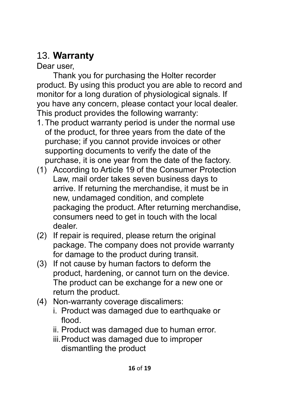## <span id="page-16-0"></span>13. **Warranty**

Dear user

Thank you for purchasing the Holter recorder product. By using this product you are able to record and monitor for a long duration of physiological signals. If you have any concern, please contact your local dealer. This product provides the following warranty:

- 1. The product warranty period is under the normal use of the product, for three years from the date of the purchase; if you cannot provide invoices or other supporting documents to verify the date of the purchase, it is one year from the date of the factory.
- (1) According to Article 19 of the Consumer Protection Law, mail order takes seven business days to arrive. If returning the merchandise, it must be in new, undamaged condition, and complete packaging the product. After returning merchandise, consumers need to get in touch with the local dealer.
- (2) If repair is required, please return the original package. The company does not provide warranty for damage to the product during transit.
- (3) If not cause by human factors to deform the product, hardening, or cannot turn on the device. The product can be exchange for a new one or return the product.
- (4) Non-warranty coverage discalimers:
	- i. Product was damaged due to earthquake or flood.
	- ii. Product was damaged due to human error.
	- iii.Product was damaged due to improper dismantling the product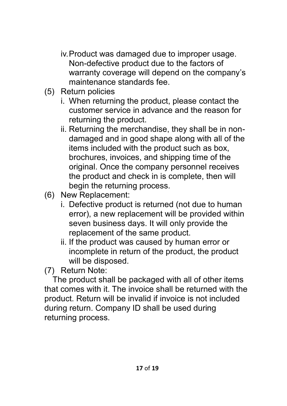- iv.Product was damaged due to improper usage. Non-defective product due to the factors of warranty coverage will depend on the company's maintenance standards fee.
- (5) Return policies
	- i. When returning the product, please contact the customer service in advance and the reason for returning the product.
	- ii. Returning the merchandise, they shall be in nondamaged and in good shape along with all of the items included with the product such as box, brochures, invoices, and shipping time of the original. Once the company personnel receives the product and check in is complete, then will begin the returning process.
- (6) New Replacement:
	- i. Defective product is returned (not due to human error), a new replacement will be provided within seven business days. It will only provide the replacement of the same product.
	- ii. If the product was caused by human error or incomplete in return of the product, the product will be disposed.

(7) Return Note:

The product shall be packaged with all of other items that comes with it. The invoice shall be returned with the product. Return will be invalid if invoice is not included during return. Company ID shall be used during returning process.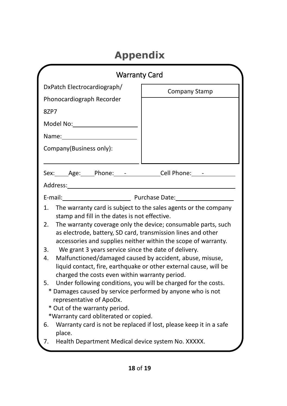# **Appendix**

| DxPatch Electrocardiograph/<br>Company Stamp<br>Phonocardiograph Recorder<br>87P7<br>Model No: Note that the Model Note that the Model Service of the Model Service of the Model Service of the Model Service of the Model Service of the Model Service of the Model Service of the Model Service of the Model Serv<br>Name: when the control of the control of the control of the control of the control of the control of the control of the control of the control of the control of the control of the control of the control of the control of t<br>Company(Business only):<br>Sex: Age: Phone: - Cell Phone: -<br>Purchase Date:<br>E-mail:<br>The warranty card is subject to the sales agents or the company<br>1.<br>stamp and fill in the dates is not effective.<br>The warranty coverage only the device; consumable parts, such<br>2.<br>as electrode, battery, SD card, transmission lines and other<br>accessories and supplies neither within the scope of warranty.<br>We grant 3 years service since the date of delivery.<br>3.<br>4.<br>Malfunctioned/damaged caused by accident, abuse, misuse,<br>liquid contact, fire, earthquake or other external cause, will be<br>charged the costs even within warranty period.<br>5.<br>Under following conditions, you will be charged for the costs.<br>* Damages caused by service performed by anyone who is not<br>representative of ApoDx.<br>* Out of the warranty period.<br>*Warranty card obliterated or copied.<br>Warranty card is not be replaced if lost, please keep it in a safe<br>6. | <b>Warranty Card</b> |  |
|---------------------------------------------------------------------------------------------------------------------------------------------------------------------------------------------------------------------------------------------------------------------------------------------------------------------------------------------------------------------------------------------------------------------------------------------------------------------------------------------------------------------------------------------------------------------------------------------------------------------------------------------------------------------------------------------------------------------------------------------------------------------------------------------------------------------------------------------------------------------------------------------------------------------------------------------------------------------------------------------------------------------------------------------------------------------------------------------------------------------------------------------------------------------------------------------------------------------------------------------------------------------------------------------------------------------------------------------------------------------------------------------------------------------------------------------------------------------------------------------------------------------------------------------------------------------|----------------------|--|
|                                                                                                                                                                                                                                                                                                                                                                                                                                                                                                                                                                                                                                                                                                                                                                                                                                                                                                                                                                                                                                                                                                                                                                                                                                                                                                                                                                                                                                                                                                                                                                     |                      |  |
|                                                                                                                                                                                                                                                                                                                                                                                                                                                                                                                                                                                                                                                                                                                                                                                                                                                                                                                                                                                                                                                                                                                                                                                                                                                                                                                                                                                                                                                                                                                                                                     |                      |  |
|                                                                                                                                                                                                                                                                                                                                                                                                                                                                                                                                                                                                                                                                                                                                                                                                                                                                                                                                                                                                                                                                                                                                                                                                                                                                                                                                                                                                                                                                                                                                                                     |                      |  |
| Health Department Medical device system No. XXXXX.<br>7.                                                                                                                                                                                                                                                                                                                                                                                                                                                                                                                                                                                                                                                                                                                                                                                                                                                                                                                                                                                                                                                                                                                                                                                                                                                                                                                                                                                                                                                                                                            | place.               |  |